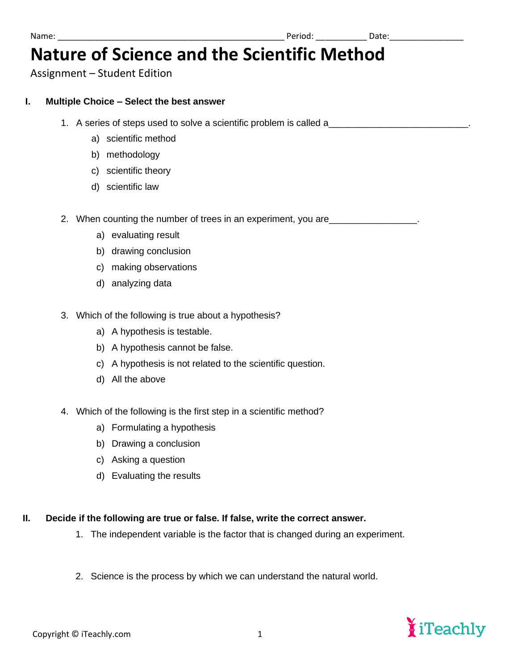# **Nature of Science and the Scientific Method**

Assignment – Student Edition

### **I. Multiple Choice – Select the best answer**

- 1. A series of steps used to solve a scientific problem is called a
	- a) scientific method
	- b) methodology
	- c) scientific theory
	- d) scientific law

2. When counting the number of trees in an experiment, you are <u>equal containing</u>

- a) evaluating result
- b) drawing conclusion
- c) making observations
- d) analyzing data
- 3. Which of the following is true about a hypothesis?
	- a) A hypothesis is testable.
	- b) A hypothesis cannot be false.
	- c) A hypothesis is not related to the scientific question.
	- d) All the above
- 4. Which of the following is the first step in a scientific method?
	- a) Formulating a hypothesis
	- b) Drawing a conclusion
	- c) Asking a question
	- d) Evaluating the results

## **II. Decide if the following are true or false. If false, write the correct answer.**

- 1. The independent variable is the factor that is changed during an experiment.
- 2. Science is the process by which we can understand the natural world.